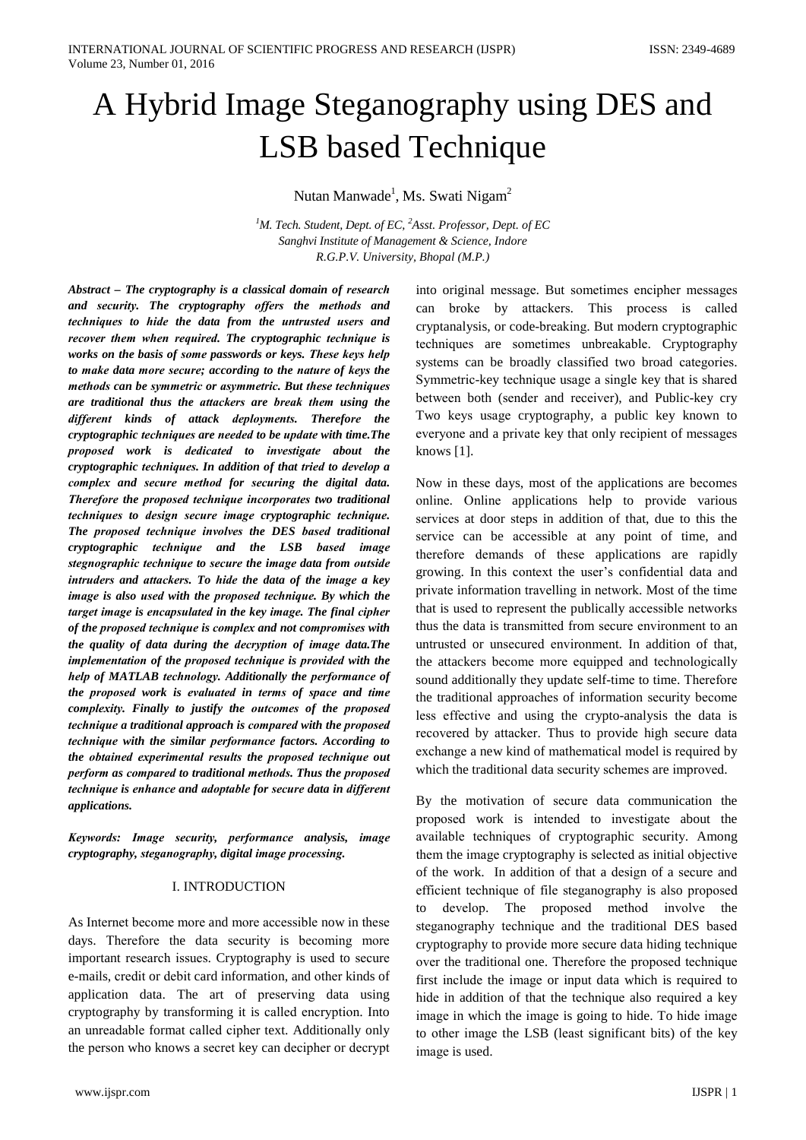# A Hybrid Image Steganography using DES and **LSB** based Technique

Nutan Manwade<sup>1</sup>, Ms. Swati Nigam<sup>2</sup>

<sup>1</sup>M. Tech. Student, Dept. of EC, <sup>2</sup>Asst. Professor, Dept. of EC Sanghvi Institute of Management & Science, Indore R.G.P.V. University, Bhopal (M.P.)

Abstract - The cryptography is a classical domain of research and security. The cryptography offers the methods and techniques to hide the data from the untrusted users and recover them when required. The cryptographic technique is works on the basis of some passwords or keys. These keys help to make data more secure; according to the nature of keys the methods can be symmetric or asymmetric. But these techniques are traditional thus the attackers are break them using the different kinds of attack deployments. Therefore the cryptographic techniques are needed to be update with time. The proposed work is dedicated to investigate about the cryptographic techniques. In addition of that tried to develop a complex and secure method for securing the digital data. Therefore the proposed technique incorporates two traditional techniques to design secure image cryptographic technique. The proposed technique involves the DES based traditional cryptographic technique and the LSB based image stegnographic technique to secure the image data from outside intruders and attackers. To hide the data of the image a key image is also used with the proposed technique. By which the target image is encapsulated in the key image. The final cipher of the proposed technique is complex and not compromises with the quality of data during the decryption of image data. The implementation of the proposed technique is provided with the help of MATLAB technology. Additionally the performance of the proposed work is evaluated in terms of space and time complexity. Finally to justify the outcomes of the proposed technique a traditional approach is compared with the proposed technique with the similar performance factors. According to the obtained experimental results the proposed technique out perform as compared to traditional methods. Thus the proposed technique is enhance and adoptable for secure data in different applications.

Keywords: Image security, performance analysis, image cryptography, steganography, digital image processing.

#### **I INTRODUCTION**

As Internet become more and more accessible now in these days. Therefore the data security is becoming more important research issues. Cryptography is used to secure e-mails, credit or debit card information, and other kinds of application data. The art of preserving data using cryptography by transforming it is called encryption. Into an unreadable format called cipher text. Additionally only the person who knows a secret key can decipher or decrypt

into original message. But sometimes encipher messages can broke by attackers. This process is called cryptanalysis, or code-breaking. But modern cryptographic techniques are sometimes unbreakable. Cryptography systems can be broadly classified two broad categories. Symmetric-key technique usage a single key that is shared between both (sender and receiver), and Public-key cry Two keys usage cryptography, a public key known to everyone and a private key that only recipient of messages knows  $[1]$ .

Now in these days, most of the applications are becomes online. Online applications help to provide various services at door steps in addition of that, due to this the service can be accessible at any point of time, and therefore demands of these applications are rapidly growing. In this context the user's confidential data and private information travelling in network. Most of the time that is used to represent the publically accessible networks thus the data is transmitted from secure environment to an untrusted or unsecured environment. In addition of that, the attackers become more equipped and technologically sound additionally they update self-time to time. Therefore the traditional approaches of information security become less effective and using the crypto-analysis the data is recovered by attacker. Thus to provide high secure data exchange a new kind of mathematical model is required by which the traditional data security schemes are improved.

By the motivation of secure data communication the proposed work is intended to investigate about the available techniques of cryptographic security. Among them the image cryptography is selected as initial objective of the work. In addition of that a design of a secure and efficient technique of file steganography is also proposed to develop. The proposed method involve the steganography technique and the traditional DES based cryptography to provide more secure data hiding technique over the traditional one. Therefore the proposed technique first include the image or input data which is required to hide in addition of that the technique also required a key image in which the image is going to hide. To hide image to other image the LSB (least significant bits) of the key image is used.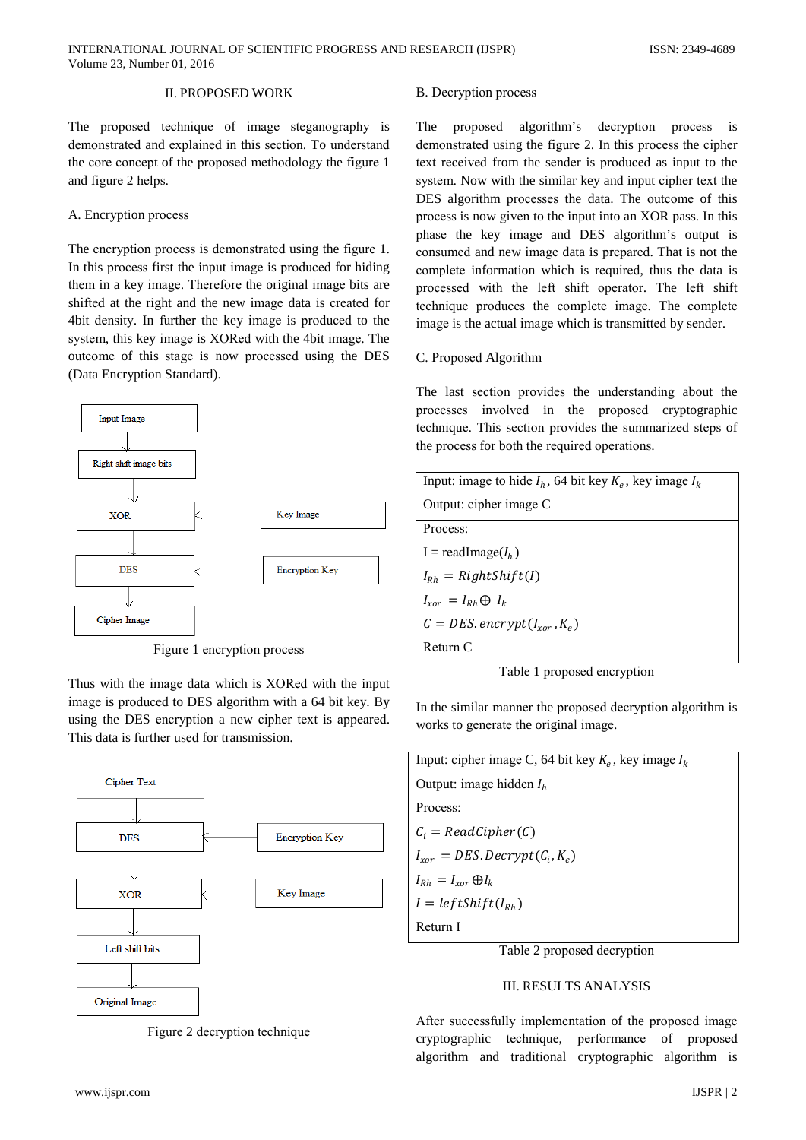## **II. PROPOSED WORK**

The proposed technique of image steganography is demonstrated and explained in this section. To understand the core concept of the proposed methodology the figure 1 and figure 2 helps.

## A. Encryption process

The encryption process is demonstrated using the figure 1. In this process first the input image is produced for hiding them in a key image. Therefore the original image bits are shifted at the right and the new image data is created for 4bit density. In further the key image is produced to the system, this key image is XORed with the 4bit image. The outcome of this stage is now processed using the DES (Data Encryption Standard).



Figure 1 encryption process

Thus with the image data which is XORed with the input image is produced to DES algorithm with a 64 bit key. By using the DES encryption a new cipher text is appeared. This data is further used for transmission.



Figure 2 decryption technique

## B. Decryption process

The proposed algorithm's decryption process is demonstrated using the figure 2. In this process the cipher text received from the sender is produced as input to the system. Now with the similar key and input cipher text the DES algorithm processes the data. The outcome of this process is now given to the input into an XOR pass. In this phase the key image and DES algorithm's output is consumed and new image data is prepared. That is not the complete information which is required, thus the data is processed with the left shift operator. The left shift technique produces the complete image. The complete image is the actual image which is transmitted by sender.

# C. Proposed Algorithm

The last section provides the understanding about the processes involved in the proposed cryptographic technique. This section provides the summarized steps of the process for both the required operations.

| Input: image to hide $I_h$ , 64 bit key $K_e$ , key image $I_k$ |  |  |  |  |
|-----------------------------------------------------------------|--|--|--|--|
| Output: cipher image C                                          |  |  |  |  |
| Process:                                                        |  |  |  |  |
| $I = readImage(I_h)$                                            |  |  |  |  |
| $I_{Rh} = RightShift(I)$                                        |  |  |  |  |
| $I_{\text{vor}} = I_{\text{Rh}} \bigoplus I_{\text{k}}$         |  |  |  |  |
| $C = DES$ . encrypt( $I_{\text{xor}}$ , $K_e$ )                 |  |  |  |  |
| Return C                                                        |  |  |  |  |



In the similar manner the proposed decryption algorithm is works to generate the original image.

| Input: cipher image C, 64 bit key $K_e$ , key image $I_k$ |  |  |  |
|-----------------------------------------------------------|--|--|--|
| Output: image hidden $I_h$                                |  |  |  |
| Process:                                                  |  |  |  |
| $C_i = ReadCipher(C)$                                     |  |  |  |
| $I_{xor} = DES.Decrypt(C_i, K_e)$                         |  |  |  |
| $I_{Rh} = I_{xor} \bigoplus I_k$                          |  |  |  |
| $I = leftShift(I_{Rh})$                                   |  |  |  |
| Return I                                                  |  |  |  |
| Table 2 proposed decryption                               |  |  |  |

# **III. RESULTS ANALYSIS**

After successfully implementation of the proposed image cryptographic technique, performance of proposed algorithm and traditional cryptographic algorithm is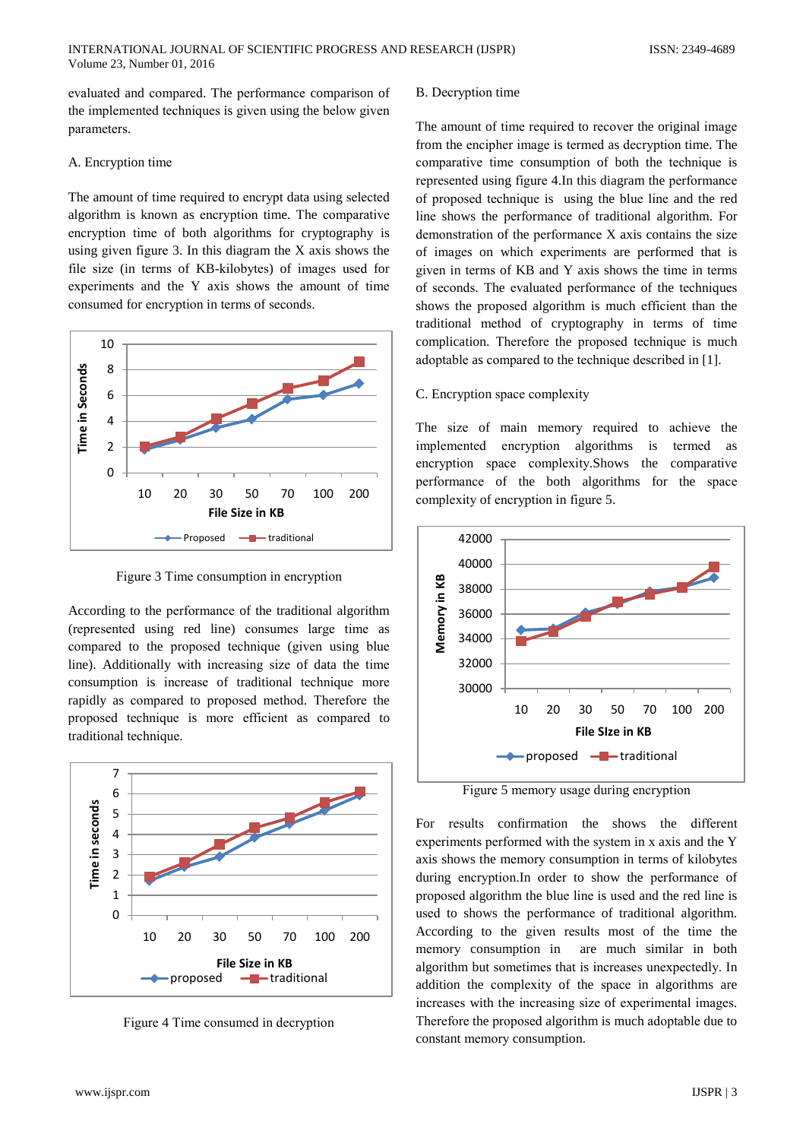evaluated and compared. The performance comparison of the implemented techniques is given using the below given parameters.

## A. Encryption time

The amount of time required to encrypt data using selected algorithm is known as encryption time. The comparative encryption time of both algorithms for cryptography is using given figure 3. In this diagram the  $X$  axis shows the file size (in terms of KB-kilobytes) of images used for experiments and the Y axis shows the amount of time consumed for encryption in terms of seconds.



Figure 3 Time consumption in encryption

According to the performance of the traditional algorithm (represented using red line) consumes large time as compared to the proposed technique (given using blue line). Additionally with increasing size of data the time consumption is increase of traditional technique more rapidly as compared to proposed method. Therefore the proposed technique is more efficient as compared to traditional technique.



Figure 4 Time consumed in decryption

#### B. Decryption time

The amount of time required to recover the original image from the encipher image is termed as decryption time. The comparative time consumption of both the technique is represented using figure 4. In this diagram the performance of proposed technique is using the blue line and the red line shows the performance of traditional algorithm. For demonstration of the performance X axis contains the size of images on which experiments are performed that is given in terms of KB and Y axis shows the time in terms of seconds. The evaluated performance of the techniques shows the proposed algorithm is much efficient than the traditional method of cryptography in terms of time complication. Therefore the proposed technique is much adoptable as compared to the technique described in [1].

#### C. Encryption space complexity

The size of main memory required to achieve the implemented encryption algorithms is termed as encryption space complexity.Shows the comparative performance of the both algorithms for the space complexity of encryption in figure 5.



Figure 5 memory usage during encryption

For results confirmation the shows the different experiments performed with the system in x axis and the Y axis shows the memory consumption in terms of kilobytes during encryption. In order to show the performance of proposed algorithm the blue line is used and the red line is used to shows the performance of traditional algorithm. According to the given results most of the time the memory consumption in are much similar in both algorithm but sometimes that is increases unexpectedly. In addition the complexity of the space in algorithms are increases with the increasing size of experimental images. Therefore the proposed algorithm is much adoptable due to constant memory consumption.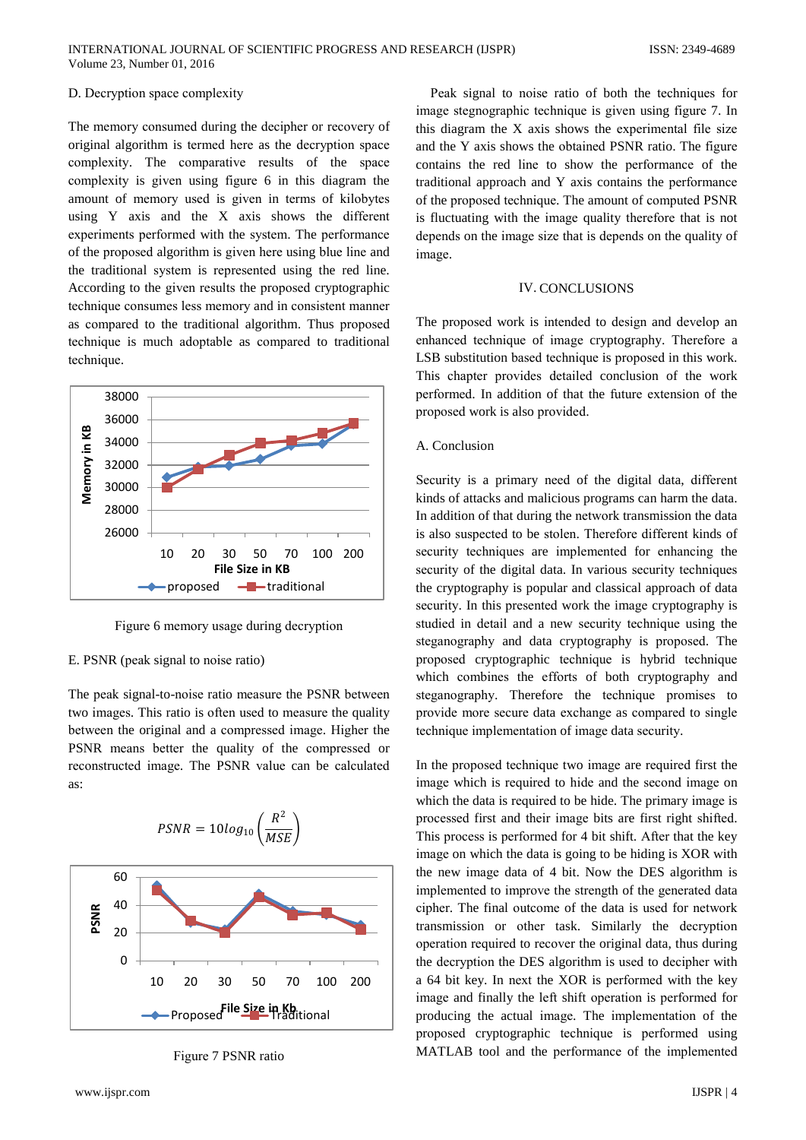#### D. Decryption space complexity

The memory consumed during the decipher or recovery of original algorithm is termed here as the decryption space complexity. The comparative results of the space complexity is given using figure 6 in this diagram the amount of memory used is given in terms of kilobytes using Y axis and the X axis shows the different experiments performed with the system. The performance of the proposed algorithm is given here using blue line and the traditional system is represented using the red line. According to the given results the proposed cryptographic technique consumes less memory and in consistent manner as compared to the traditional algorithm. Thus proposed technique is much adoptable as compared to traditional technique.



Figure 6 memory usage during decryption

#### E. PSNR (peak signal to noise ratio)

The peak signal-to-noise ratio measure the PSNR between two images. This ratio is often used to measure the quality between the original and a compressed image. Higher the PSNR means better the quality of the compressed or reconstructed image. The PSNR value can be calculated as:



Figure 7 PSNR ratio

Peak signal to noise ratio of both the techniques for image stegnographic technique is given using figure 7. In this diagram the X axis shows the experimental file size and the Y axis shows the obtained PSNR ratio. The figure contains the red line to show the performance of the traditional approach and Y axis contains the performance of the proposed technique. The amount of computed PSNR is fluctuating with the image quality therefore that is not depends on the image size that is depends on the quality of image.

#### **IV. CONCLUSIONS**

The proposed work is intended to design and develop an enhanced technique of image cryptography. Therefore a LSB substitution based technique is proposed in this work. This chapter provides detailed conclusion of the work performed. In addition of that the future extension of the proposed work is also provided.

#### A. Conclusion

Security is a primary need of the digital data, different kinds of attacks and malicious programs can harm the data. In addition of that during the network transmission the data is also suspected to be stolen. Therefore different kinds of security techniques are implemented for enhancing the security of the digital data. In various security techniques the cryptography is popular and classical approach of data security. In this presented work the image cryptography is studied in detail and a new security technique using the steganography and data cryptography is proposed. The proposed cryptographic technique is hybrid technique which combines the efforts of both cryptography and steganography. Therefore the technique promises to provide more secure data exchange as compared to single technique implementation of image data security.

In the proposed technique two image are required first the image which is required to hide and the second image on which the data is required to be hide. The primary image is processed first and their image bits are first right shifted. This process is performed for 4 bit shift. After that the key image on which the data is going to be hiding is XOR with the new image data of 4 bit. Now the DES algorithm is implemented to improve the strength of the generated data cipher. The final outcome of the data is used for network transmission or other task. Similarly the decryption operation required to recover the original data, thus during the decryption the DES algorithm is used to decipher with a 64 bit key. In next the XOR is performed with the key image and finally the left shift operation is performed for producing the actual image. The implementation of the proposed cryptographic technique is performed using MATLAB tool and the performance of the implemented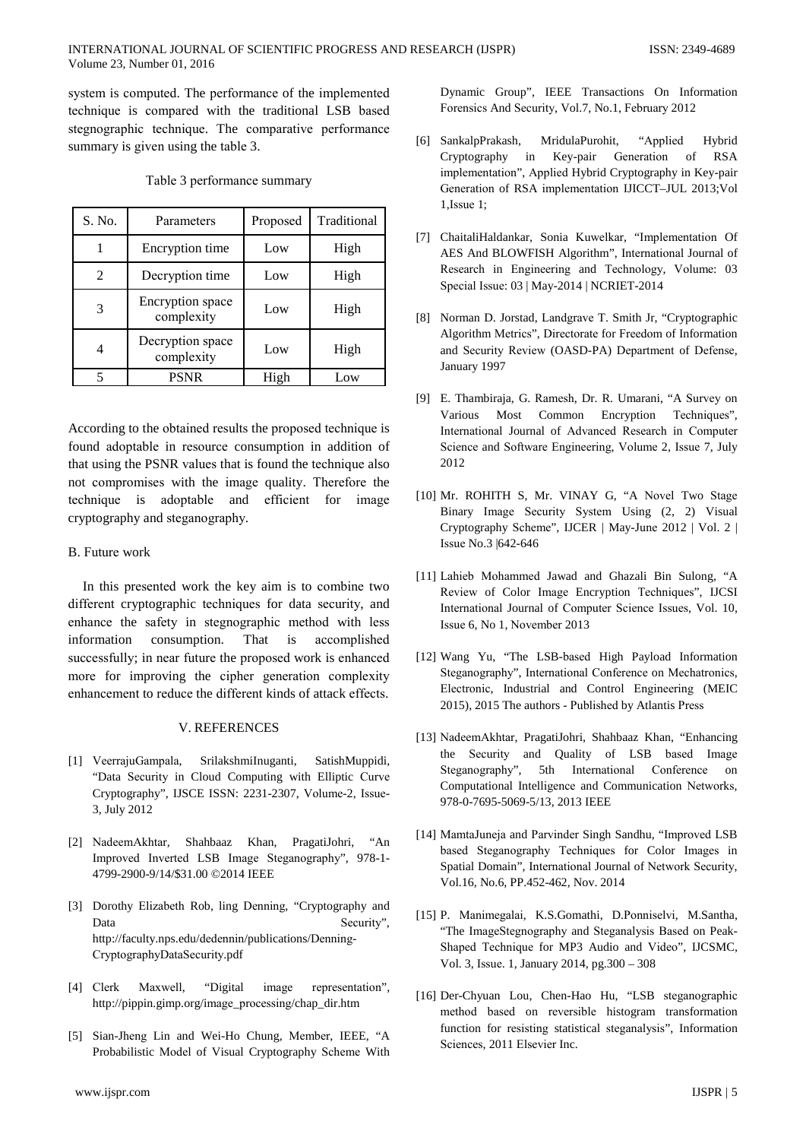system is computed. The performance of the implemented technique is compared with the traditional LSB based stegnographic technique. The comparative performance summary is given using the table 3.

| S. No. | Parameters                     | Proposed | Traditional |
|--------|--------------------------------|----------|-------------|
|        | Encryption time                | Low      | High        |
| 2      | Decryption time                | Low      | High        |
| 3      | Encryption space<br>complexity | Low      | High        |
| 4      | Decryption space<br>complexity | Low      | High        |
| 5      | <b>PSNR</b>                    | High     | Low         |

Table 3 performance summary

According to the obtained results the proposed technique is found adoptable in resource consumption in addition of that using the PSNR values that is found the technique also not compromises with the image quality. Therefore the technique is adoptable and efficient for image cryptography and steganography.

B. Future work

In this presented work the key aim is to combine two different cryptographic techniques for data security, and enhance the safety in stegnographic method with less information consumption. That  $\mathbf{i}$ s accomplished successfully; in near future the proposed work is enhanced more for improving the cipher generation complexity enhancement to reduce the different kinds of attack effects.

#### **V. REFERENCES**

- SrilakshmiInuganti, [1] VeerrajuGampala, SatishMuppidi, "Data Security in Cloud Computing with Elliptic Curve Cryptography", IJSCE ISSN: 2231-2307, Volume-2, Issue-3. July 2012
- [2] NadeemAkhtar, Shahbaaz Khan, PragatiJohri, "An Improved Inverted LSB Image Steganography", 978-1-4799-2900-9/14/\$31.00 ©2014 IEEE
- [3] Dorothy Elizabeth Rob, ling Denning, "Cryptography and Data Security". http://faculty.nps.edu/dedennin/publications/Denning-CryptographyDataSecurity.pdf
- [4] Clerk Maxwell. "Digital image representation". http://pippin.gimp.org/image\_processing/chap\_dir.htm
- [5] Sian-Jheng Lin and Wei-Ho Chung, Member, IEEE, "A Probabilistic Model of Visual Cryptography Scheme With

Dynamic Group", IEEE Transactions On Information Forensics And Security, Vol.7, No.1, February 2012

- [6] SankalpPrakash, MridulaPurohit, "Applied Hybrid Cryptography  $in$ Key-pair Generation  $\alpha$ **RSA** implementation", Applied Hybrid Cryptography in Key-pair Generation of RSA implementation IJICCT-JUL 2013; Vol  $1.$ Issue  $1:$
- [7] ChaitaliHaldankar, Sonia Kuwelkar, "Implementation Of AES And BLOWFISH Algorithm", International Journal of Research in Engineering and Technology, Volume: 03 Special Issue: 03 | May-2014 | NCRIET-2014
- [8] Norman D. Jorstad, Landgrave T. Smith Jr, "Cryptographic Algorithm Metrics", Directorate for Freedom of Information and Security Review (OASD-PA) Department of Defense, January 1997
- [9] E. Thambiraja, G. Ramesh, Dr. R. Umarani, "A Survey on Various Most Common Encryption Techniques". International Journal of Advanced Research in Computer Science and Software Engineering, Volume 2, Issue 7, July 2012
- [10] Mr. ROHITH S, Mr. VINAY G, "A Novel Two Stage Binary Image Security System Using (2, 2) Visual Cryptography Scheme", IJCER | May-June 2012 | Vol. 2 | Issue No.3 | 642-646
- [11] Lahieb Mohammed Jawad and Ghazali Bin Sulong, "A Review of Color Image Encryption Techniques", IJCSI International Journal of Computer Science Issues, Vol. 10. Issue 6, No 1, November 2013
- [12] Wang Yu, "The LSB-based High Payload Information Steganography", International Conference on Mechatronics, Electronic, Industrial and Control Engineering (MEIC 2015), 2015 The authors - Published by Atlantis Press
- [13] NadeemAkhtar, PragatiJohri, Shahbaaz Khan, "Enhancing the Security and Quality of LSB based Image Steganography", 5th International Conference  $\alpha$ Computational Intelligence and Communication Networks, 978-0-7695-5069-5/13, 2013 IEEE
- [14] MamtaJuneja and Parvinder Singh Sandhu, "Improved LSB based Steganography Techniques for Color Images in Spatial Domain", International Journal of Network Security, Vol.16, No.6, PP.452-462, Nov. 2014
- [15] P. Manimegalai, K.S.Gomathi, D.Ponniselvi, M.Santha, "The ImageStegnography and Steganalysis Based on Peak-Shaped Technique for MP3 Audio and Video", IJCSMC, Vol. 3, Issue. 1, January 2014, pg. 300 - 308
- [16] Der-Chyuan Lou, Chen-Hao Hu, "LSB steganographic method based on reversible histogram transformation function for resisting statistical steganalysis", Information Sciences, 2011 Elsevier Inc.